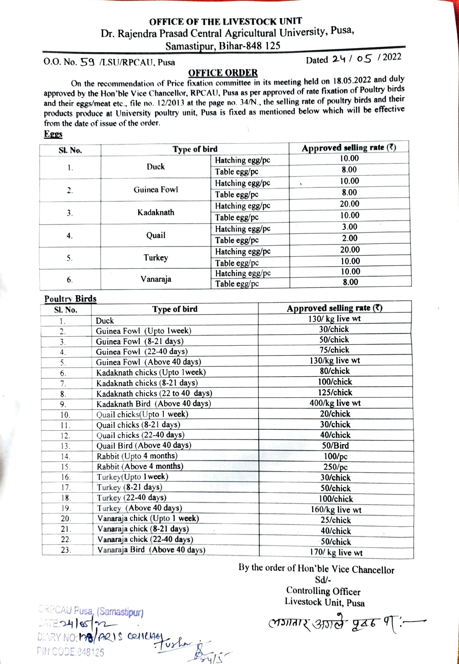## OFFICE OF THE LIVESTOCK UNIT Dr. Rajendra Prasad Central Agricultural University, Pusa, Samastipur, Bihar-848 125

O.O. No. 59 /LSU/RPCAU, Pusa Dated 24 / 05 / 2022

OFFICE ORDER On the recommendation of Price fixation committee in its meeting held on 18.05.2022 and duly approved by the Hon'ble Vice Chancellor, RPCAU, Pusa as per approved of rate fixation of Poultry birds and their eggs/meat etc., file no. 12/2013 at the page no. 34/N., the selling rate of poultry birds and their products produce at University poultry unit, Pusa is fixed as mentioned below which will be effective from the date of issue of the order.

Eggs

| <b>SI. No.</b> | Type of bird |                 | Approved selling rate $(7)$ |
|----------------|--------------|-----------------|-----------------------------|
|                |              | Hatching egg/pc | 10.00                       |
| ι.             | Duck         | Table egg/pc    | 8.00                        |
|                | Guinea Fowl  | Hatching egg/pc | 10.00                       |
| 2.             |              | Table egg/pc    | 8.00                        |
| 3.             | Kadaknath    | Hatching egg/pc | 20.00                       |
|                |              | Table egg/pc    | 10.00                       |
|                | Quail        | Hatching egg/pc | 3.00                        |
| 4.             |              | Table egg/pc    | 2.00                        |
|                | Turkey       | Hatching egg/pc | 20.00                       |
| 5.             |              | Table egg/pc    | 10.00                       |
| 6.             | Vanaraja     | Hatching egg/pc | 10.00                       |
|                |              | Table egg/pc    | 8.00                        |

| Poultry Birds<br>Sl. No. | Type of bird                     | Approved selling rate $(7)$ |
|--------------------------|----------------------------------|-----------------------------|
| 1.                       | Duck                             | 130/kg live wt              |
| 2.                       | Guinea Fowl (Upto 1week)         | 30/chick                    |
| 3 <sub>1</sub>           | Guinea Fowl (8-21 days)          | 50/chick                    |
| 4.                       | Guinea Fowl (22-40 days)         | 75/chick                    |
| 5.                       | Guinea Fowl (Above 40 days)      | 130/kg live wt              |
| 6.                       | Kadaknath chicks (Upto 1week)    | 80/chick                    |
| 7.                       | Kadaknath chicks (8-21 days)     | 100/chick                   |
| 8.                       | Kadaknath chicks (22 to 40 days) | 125/chick                   |
| 9.                       | Kadaknath Bird (Above 40 days)   | 400/kg live wt              |
| 10.                      | Quail chicks(Upto 1 week)        | 20/chick                    |
| 11.                      | Quail chicks (8-21 days)         | 30/chick                    |
| 12.                      | Quail chicks (22-40 days)        | 40/chick                    |
| 13.                      | Quail Bird (Above 40 days)       | 50/Bird                     |
| 14.                      | Rabbit (Upto 4 months)           | $100$ /pc                   |
| 15.                      | Rabbit (Above 4 months)          | $250$ /pc                   |
| 16.                      | Turkey(Upto 1 week)              | 30/chick                    |
| 17.                      | Turkey (8-21 days)               | 50/chick                    |
| 18.                      | Turkey (22-40 days)              | 100/chick                   |
| 19.                      | Turkey (Above 40 days)           | 160/kg live wt              |
| 20.                      | Vanaraja chick (Upto 1 week)     | 25/chick                    |
| 21.                      | Vanaraja chick (8-21 days)       | 40/chick                    |
| 22.                      | Vanaraja chick (22-40 days)      | 50/chick                    |
| 23.                      | Vanaraja Bird (Above 40 days)    | 170/kg live wt              |

By the order of Hon'ble Vice Chancellor Sd/ Controlling Officer

Livestock Unit, Pusa

প্রসানায্ ওা্যান্ড পূর্ত্র ণ্ ':–

DRPCAU Pusa, (Samastipur) DRP**CAU Pusa, (Samas)**<br>DATE:**24 | 85 | 92 --**<br>DIARMAIO **LOR / 02 M** DIARY NO:  $\frac{1}{8}$  ARIS CRILLIAGY PIN CODE 848125